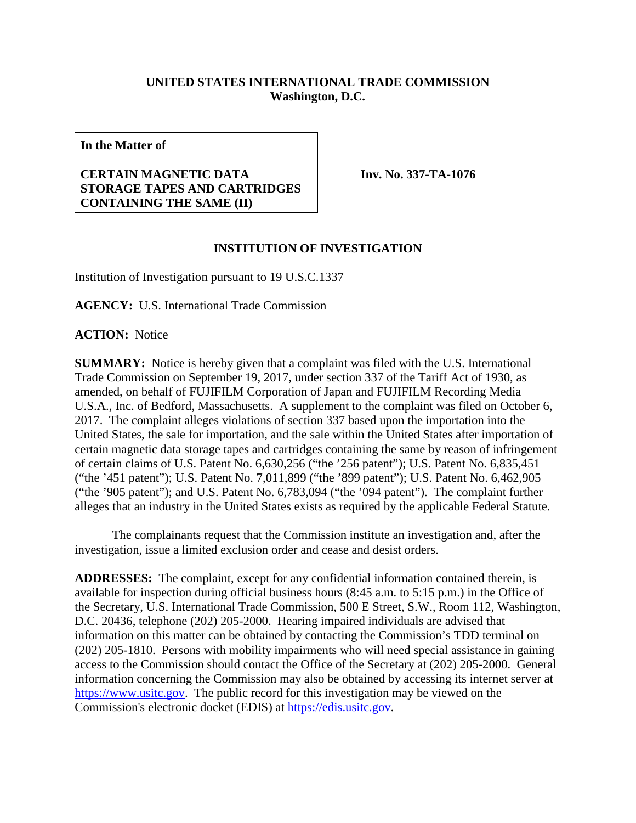## **UNITED STATES INTERNATIONAL TRADE COMMISSION Washington, D.C.**

**In the Matter of**

## **CERTAIN MAGNETIC DATA STORAGE TAPES AND CARTRIDGES CONTAINING THE SAME (II)**

**Inv. No. 337-TA-1076**

## **INSTITUTION OF INVESTIGATION**

Institution of Investigation pursuant to 19 U.S.C.1337

**AGENCY:** U.S. International Trade Commission

**ACTION:** Notice

**SUMMARY:** Notice is hereby given that a complaint was filed with the U.S. International Trade Commission on September 19, 2017, under section 337 of the Tariff Act of 1930, as amended, on behalf of FUJIFILM Corporation of Japan and FUJIFILM Recording Media U.S.A., Inc. of Bedford, Massachusetts. A supplement to the complaint was filed on October 6, 2017. The complaint alleges violations of section 337 based upon the importation into the United States, the sale for importation, and the sale within the United States after importation of certain magnetic data storage tapes and cartridges containing the same by reason of infringement of certain claims of U.S. Patent No. 6,630,256 ("the '256 patent"); U.S. Patent No. 6,835,451 ("the '451 patent"); U.S. Patent No. 7,011,899 ("the '899 patent"); U.S. Patent No. 6,462,905 ("the '905 patent"); and U.S. Patent No. 6,783,094 ("the '094 patent"). The complaint further alleges that an industry in the United States exists as required by the applicable Federal Statute.

The complainants request that the Commission institute an investigation and, after the investigation, issue a limited exclusion order and cease and desist orders.

**ADDRESSES:** The complaint, except for any confidential information contained therein, is available for inspection during official business hours (8:45 a.m. to 5:15 p.m.) in the Office of the Secretary, U.S. International Trade Commission, 500 E Street, S.W., Room 112, Washington, D.C. 20436, telephone (202) 205-2000. Hearing impaired individuals are advised that information on this matter can be obtained by contacting the Commission's TDD terminal on (202) 205-1810. Persons with mobility impairments who will need special assistance in gaining access to the Commission should contact the Office of the Secretary at (202) 205-2000. General information concerning the Commission may also be obtained by accessing its internet server at [https://www.usitc.gov.](https://www.usitc.gov/) The public record for this investigation may be viewed on the Commission's electronic docket (EDIS) at [https://edis.usitc.gov.](https://edis.usitc.gov/)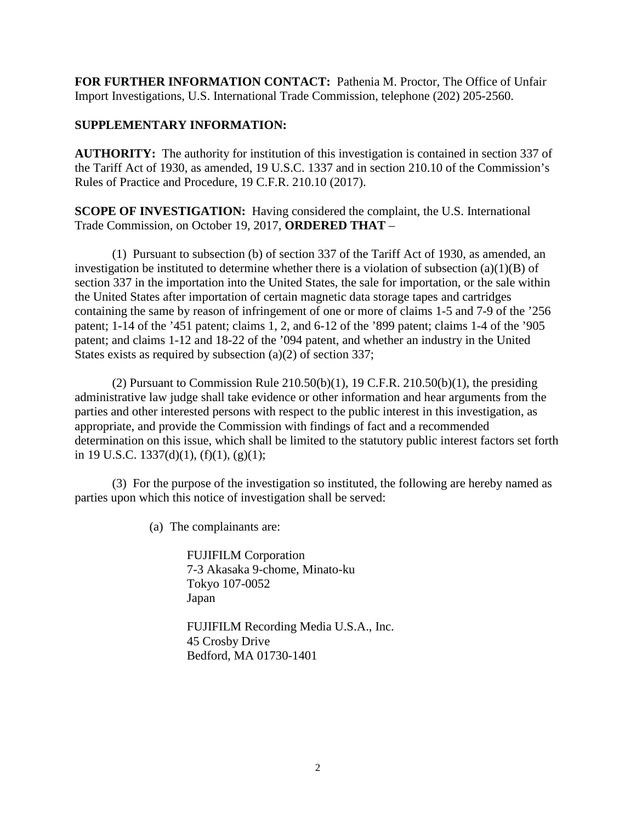**FOR FURTHER INFORMATION CONTACT:** Pathenia M. Proctor, The Office of Unfair Import Investigations, U.S. International Trade Commission, telephone (202) 205-2560.

## **SUPPLEMENTARY INFORMATION:**

**AUTHORITY:** The authority for institution of this investigation is contained in section 337 of the Tariff Act of 1930, as amended, 19 U.S.C. 1337 and in section 210.10 of the Commission's Rules of Practice and Procedure, 19 C.F.R. 210.10 (2017).

**SCOPE OF INVESTIGATION:** Having considered the complaint, the U.S. International Trade Commission, on October 19, 2017, **ORDERED THAT** –

(1) Pursuant to subsection (b) of section 337 of the Tariff Act of 1930, as amended, an investigation be instituted to determine whether there is a violation of subsection  $(a)(1)(B)$  of section 337 in the importation into the United States, the sale for importation, or the sale within the United States after importation of certain magnetic data storage tapes and cartridges containing the same by reason of infringement of one or more of claims 1-5 and 7-9 of the '256 patent; 1-14 of the '451 patent; claims 1, 2, and 6-12 of the '899 patent; claims 1-4 of the '905 patent; and claims 1-12 and 18-22 of the '094 patent, and whether an industry in the United States exists as required by subsection (a)(2) of section 337;

(2) Pursuant to Commission Rule  $210.50(b)(1)$ , 19 C.F.R.  $210.50(b)(1)$ , the presiding administrative law judge shall take evidence or other information and hear arguments from the parties and other interested persons with respect to the public interest in this investigation, as appropriate, and provide the Commission with findings of fact and a recommended determination on this issue, which shall be limited to the statutory public interest factors set forth in 19 U.S.C. 1337(d)(1), (f)(1), (g)(1);

(3) For the purpose of the investigation so instituted, the following are hereby named as parties upon which this notice of investigation shall be served:

(a) The complainants are:

FUJIFILM Corporation 7-3 Akasaka 9-chome, Minato-ku Tokyo 107-0052 Japan

FUJIFILM Recording Media U.S.A., Inc. 45 Crosby Drive Bedford, MA 01730-1401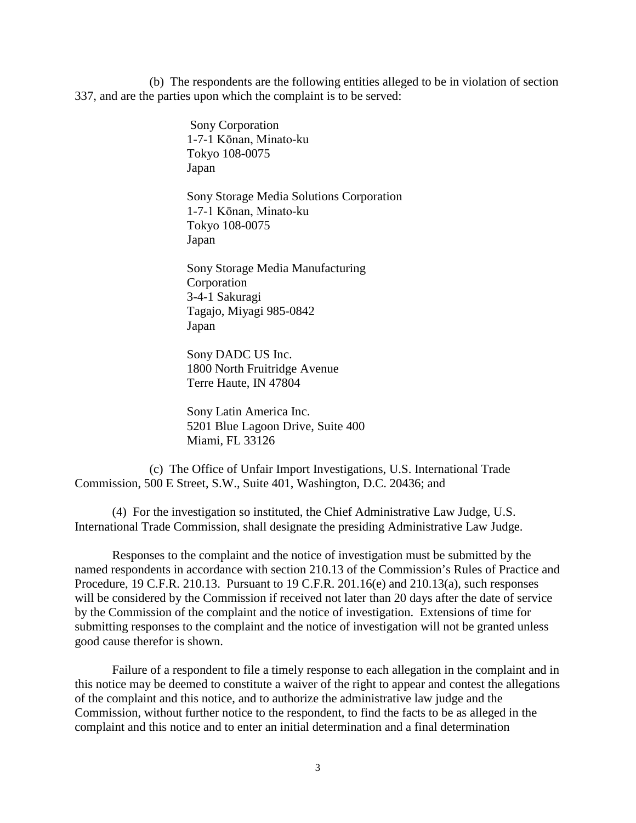(b) The respondents are the following entities alleged to be in violation of section 337, and are the parties upon which the complaint is to be served:

> Sony Corporation 1-7-1 Kōnan, Minato-ku Tokyo 108-0075 Japan

Sony Storage Media Solutions Corporation 1-7-1 Kōnan, Minato-ku Tokyo 108-0075 Japan

Sony Storage Media Manufacturing **Corporation** 3-4-1 Sakuragi Tagajo, Miyagi 985-0842 Japan

Sony DADC US Inc. 1800 North Fruitridge Avenue Terre Haute, IN 47804

Sony Latin America Inc. 5201 Blue Lagoon Drive, Suite 400 Miami, FL 33126

(c) The Office of Unfair Import Investigations, U.S. International Trade Commission, 500 E Street, S.W., Suite 401, Washington, D.C. 20436; and

(4) For the investigation so instituted, the Chief Administrative Law Judge, U.S. International Trade Commission, shall designate the presiding Administrative Law Judge.

Responses to the complaint and the notice of investigation must be submitted by the named respondents in accordance with section 210.13 of the Commission's Rules of Practice and Procedure, 19 C.F.R. 210.13. Pursuant to 19 C.F.R. 201.16(e) and 210.13(a), such responses will be considered by the Commission if received not later than 20 days after the date of service by the Commission of the complaint and the notice of investigation. Extensions of time for submitting responses to the complaint and the notice of investigation will not be granted unless good cause therefor is shown.

Failure of a respondent to file a timely response to each allegation in the complaint and in this notice may be deemed to constitute a waiver of the right to appear and contest the allegations of the complaint and this notice, and to authorize the administrative law judge and the Commission, without further notice to the respondent, to find the facts to be as alleged in the complaint and this notice and to enter an initial determination and a final determination